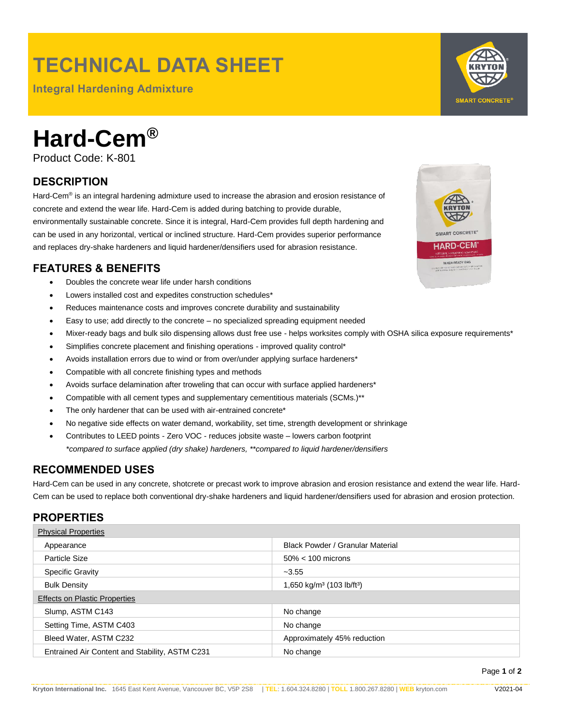## **TECHNICAL DATA SHEET**

**Integral Hardening Admixture**



# **Hard-Cem®**

Product Code: K-801

### **DESCRIPTION**

Hard-Cem<sup>®</sup> is an integral hardening admixture used to increase the abrasion and erosion resistance of concrete and extend the wear life. Hard-Cem is added during batching to provide durable, environmentally sustainable concrete. Since it is integral, Hard-Cem provides full depth hardening and can be used in any horizontal, vertical or inclined structure. Hard-Cem provides superior performance and replaces dry-shake hardeners and liquid hardener/densifiers used for abrasion resistance.

#### **FEATURES & BENEFITS**

- Doubles the concrete wear life under harsh conditions
- Lowers installed cost and expedites construction schedules\*
- Reduces maintenance costs and improves concrete durability and sustainability
- Easy to use; add directly to the concrete no specialized spreading equipment needed
- Mixer-ready bags and bulk silo dispensing allows dust free use helps worksites comply with OSHA silica exposure requirements\*
- Simplifies concrete placement and finishing operations improved quality control\*
- Avoids installation errors due to wind or from over/under applying surface hardeners\*
- Compatible with all concrete finishing types and methods
- Avoids surface delamination after troweling that can occur with surface applied hardeners\*
- Compatible with all cement types and supplementary cementitious materials (SCMs.)\*\*
- The only hardener that can be used with air-entrained concrete\*
- No negative side effects on water demand, workability, set time, strength development or shrinkage
- Contributes to LEED points Zero VOC reduces jobsite waste lowers carbon footprint *\*compared to surface applied (dry shake) hardeners, \*\*compared to liquid hardener/densifiers*

#### **RECOMMENDED USES**

Hard-Cem can be used in any concrete, shotcrete or precast work to improve abrasion and erosion resistance and extend the wear life. Hard-Cem can be used to replace both conventional dry-shake hardeners and liquid hardener/densifiers used for abrasion and erosion protection.

#### **PROPERTIES**

| <b>Physical Properties</b>                     |                                                   |
|------------------------------------------------|---------------------------------------------------|
| Appearance                                     | <b>Black Powder / Granular Material</b>           |
| Particle Size                                  | $50\% < 100$ microns                              |
| <b>Specific Gravity</b>                        | $-3.55$                                           |
| <b>Bulk Density</b>                            | 1,650 kg/m <sup>3</sup> (103 lb/ft <sup>3</sup> ) |
| <b>Effects on Plastic Properties</b>           |                                                   |
| Slump, ASTM C143                               | No change                                         |
| Setting Time, ASTM C403                        | No change                                         |
| Bleed Water, ASTM C232                         | Approximately 45% reduction                       |
| Entrained Air Content and Stability, ASTM C231 | No change                                         |